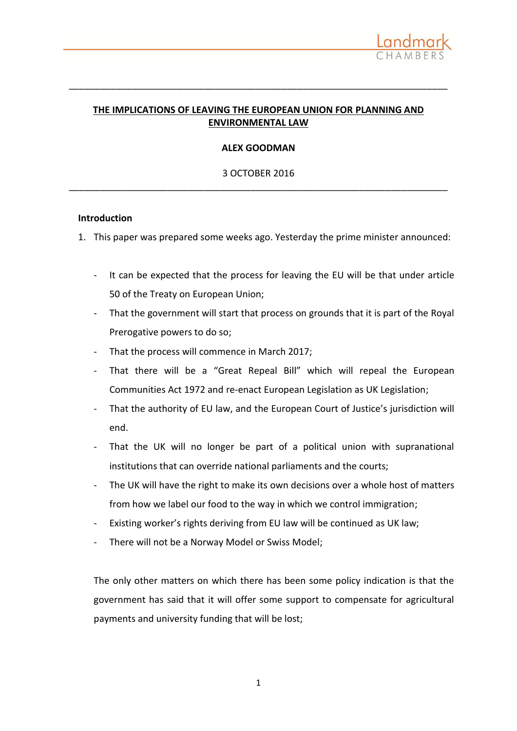# **THE IMPLICATIONS OF LEAVING THE EUROPEAN UNION FOR PLANNING AND ENVIRONMENTAL LAW**

\_\_\_\_\_\_\_\_\_\_\_\_\_\_\_\_\_\_\_\_\_\_\_\_\_\_\_\_\_\_\_\_\_\_\_\_\_\_\_\_\_\_\_\_\_\_\_\_\_\_\_\_\_\_\_\_\_\_\_\_\_\_\_\_\_\_\_\_\_\_\_\_\_

## **ALEX GOODMAN**

# 3 OCTOBER 2016 \_\_\_\_\_\_\_\_\_\_\_\_\_\_\_\_\_\_\_\_\_\_\_\_\_\_\_\_\_\_\_\_\_\_\_\_\_\_\_\_\_\_\_\_\_\_\_\_\_\_\_\_\_\_\_\_\_\_\_\_\_\_\_\_\_\_\_\_\_\_\_\_\_

### **Introduction**

1. This paper was prepared some weeks ago. Yesterday the prime minister announced:

- It can be expected that the process for leaving the EU will be that under article 50 of the Treaty on European Union;
- That the government will start that process on grounds that it is part of the Royal Prerogative powers to do so;
- That the process will commence in March 2017;
- That there will be a "Great Repeal Bill" which will repeal the European Communities Act 1972 and re-enact European Legislation as UK Legislation;
- That the authority of EU law, and the European Court of Justice's jurisdiction will end.
- That the UK will no longer be part of a political union with supranational institutions that can override national parliaments and the courts;
- The UK will have the right to make its own decisions over a whole host of matters from how we label our food to the way in which we control immigration;
- Existing worker's rights deriving from EU law will be continued as UK law;
- There will not be a Norway Model or Swiss Model;

The only other matters on which there has been some policy indication is that the government has said that it will offer some support to compensate for agricultural payments and university funding that will be lost;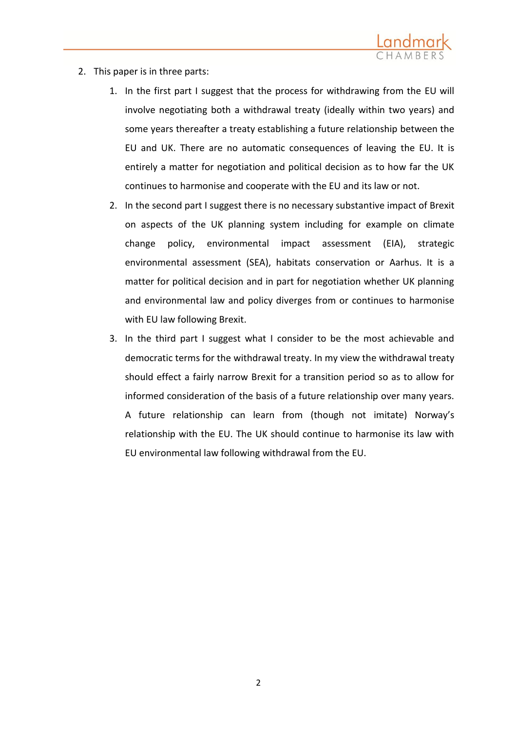

- 2. This paper is in three parts:
	- 1. In the first part I suggest that the process for withdrawing from the EU will involve negotiating both a withdrawal treaty (ideally within two years) and some years thereafter a treaty establishing a future relationship between the EU and UK. There are no automatic consequences of leaving the EU. It is entirely a matter for negotiation and political decision as to how far the UK continues to harmonise and cooperate with the EU and its law or not.
	- 2. In the second part I suggest there is no necessary substantive impact of Brexit on aspects of the UK planning system including for example on climate change policy, environmental impact assessment (EIA), strategic environmental assessment (SEA), habitats conservation or Aarhus. It is a matter for political decision and in part for negotiation whether UK planning and environmental law and policy diverges from or continues to harmonise with EU law following Brexit.
	- 3. In the third part I suggest what I consider to be the most achievable and democratic terms for the withdrawal treaty. In my view the withdrawal treaty should effect a fairly narrow Brexit for a transition period so as to allow for informed consideration of the basis of a future relationship over many years. A future relationship can learn from (though not imitate) Norway's relationship with the EU. The UK should continue to harmonise its law with EU environmental law following withdrawal from the EU.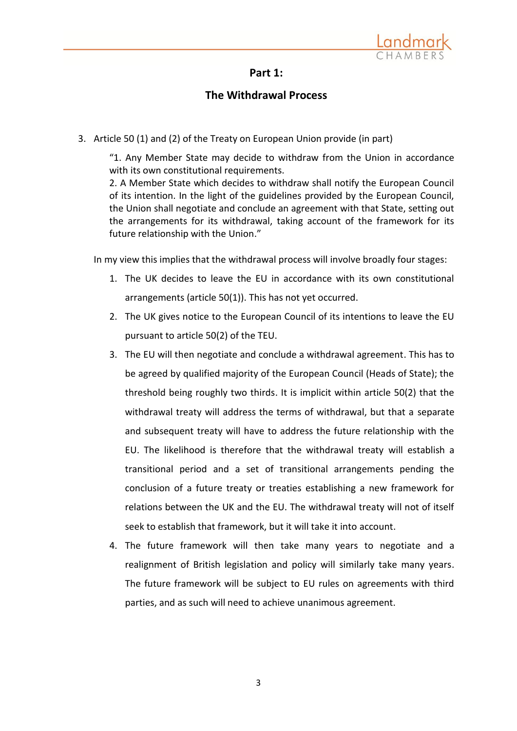

## **Part 1:**

# **The Withdrawal Process**

3. Article 50 (1) and (2) of the Treaty on European Union provide (in part)

"1. Any Member State may decide to withdraw from the Union in accordance with its own constitutional requirements.

2. A Member State which decides to withdraw shall notify the European Council of its intention. In the light of the guidelines provided by the European Council, the Union shall negotiate and conclude an agreement with that State, setting out the arrangements for its withdrawal, taking account of the framework for its future relationship with the Union."

In my view this implies that the withdrawal process will involve broadly four stages:

- 1. The UK decides to leave the EU in accordance with its own constitutional arrangements (article 50(1)). This has not yet occurred.
- 2. The UK gives notice to the European Council of its intentions to leave the EU pursuant to article 50(2) of the TEU.
- 3. The EU will then negotiate and conclude a withdrawal agreement. This has to be agreed by qualified majority of the European Council (Heads of State); the threshold being roughly two thirds. It is implicit within article 50(2) that the withdrawal treaty will address the terms of withdrawal, but that a separate and subsequent treaty will have to address the future relationship with the EU. The likelihood is therefore that the withdrawal treaty will establish a transitional period and a set of transitional arrangements pending the conclusion of a future treaty or treaties establishing a new framework for relations between the UK and the EU. The withdrawal treaty will not of itself seek to establish that framework, but it will take it into account.
- 4. The future framework will then take many years to negotiate and a realignment of British legislation and policy will similarly take many years. The future framework will be subject to EU rules on agreements with third parties, and as such will need to achieve unanimous agreement.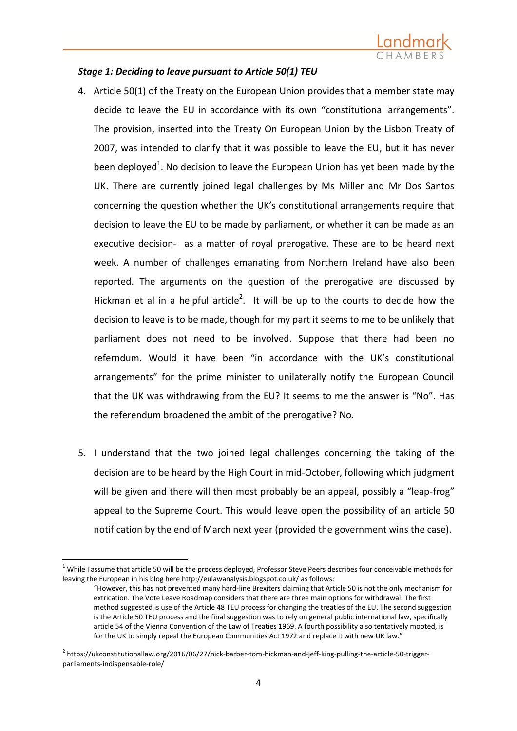

### *Stage 1: Deciding to leave pursuant to Article 50(1) TEU*

- 4. Article 50(1) of the Treaty on the European Union provides that a member state may decide to leave the EU in accordance with its own "constitutional arrangements". The provision, inserted into the Treaty On European Union by the Lisbon Treaty of 2007, was intended to clarify that it was possible to leave the EU, but it has never been deployed<sup>1</sup>. No decision to leave the European Union has yet been made by the UK. There are currently joined legal challenges by Ms Miller and Mr Dos Santos concerning the question whether the UK's constitutional arrangements require that decision to leave the EU to be made by parliament, or whether it can be made as an executive decision- as a matter of royal prerogative. These are to be heard next week. A number of challenges emanating from Northern Ireland have also been reported. The arguments on the question of the prerogative are discussed by Hickman et al in a helpful [article](https://ukconstitutionallaw.org/2016/06/27/nick-barber-tom-hickman-and-jeff-king-pulling-the-article-50-trigger-parliaments-indispensable-role/)<sup>2</sup>. It will be up to the courts to decide how the decision to leave is to be made, though for my part it seems to me to be unlikely that parliament does not need to be involved. Suppose that there had been no referndum. Would it have been "in accordance with the UK's constitutional arrangements" for the prime minister to unilaterally notify the European Council that the UK was withdrawing from the EU? It seems to me the answer is "No". Has the referendum broadened the ambit of the prerogative? No.
- 5. I understand that the two joined legal challenges concerning the taking of the decision are to be heard by the High Court in mid-October, following which judgment will be given and there will then most probably be an appeal, possibly a "leap-frog" appeal to the Supreme Court. This would leave open the possibility of an article 50 notification by the end of March next year (provided the government wins the case).

 $\overline{a}$ 

 $1$  While I assume that article 50 will be the process deployed, Professor Steve Peers describes four conceivable methods for leaving the European in his blog her[e http://eulawanalysis.blogspot.co.uk/](http://eulawanalysis.blogspot.co.uk/) as follows:

<sup>&</sup>quot;However, this has not prevented many hard-line Brexiter[s claiming](http://www.voteleavetakecontrol.org/a_framework_for_taking_back_control_and_establishing_a_new_uk_eu_deal_after_23_june) that Article 50 is not the only mechanism for extrication. The Vote Leave Roadmap considers that there are three main options for withdrawal. The first method suggested is use of the Article 48 TEU process for changing the treaties of the EU. The second suggestion is the Article 50 TEU process and the final suggestion was to rely on general public international law, specifically article 54 of the Vienna Convention of the Law of Treaties 1969. A fourth possibility also tentatively mooted, is for the UK to simply repeal the European Communities Act 1972 and replace it with new UK law."

<sup>&</sup>lt;sup>2</sup> https://ukconstitutionallaw.org/2016/06/27/nick-barber-tom-hickman-and-jeff-king-pulling-the-article-50-triggerparliaments-indispensable-role/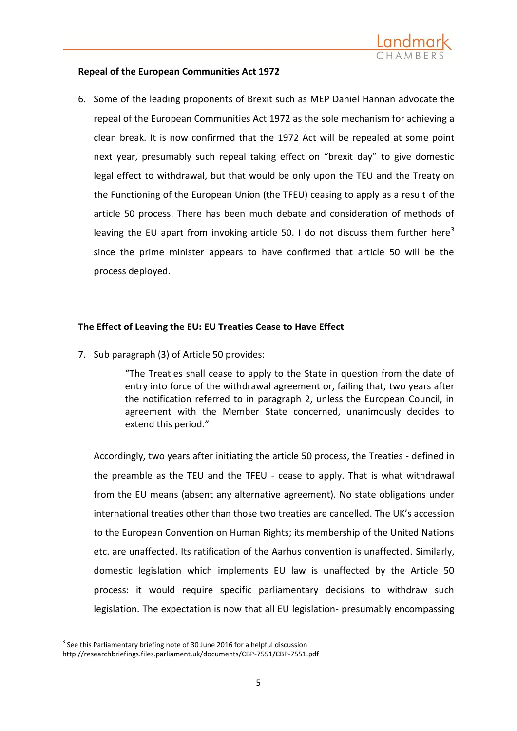

## **Repeal of the European Communities Act 1972**

6. Some of the leading proponents of Brexit such as MEP Daniel Hannan advocate the repeal of the European Communities Act 1972 as the sole mechanism for achieving a clean break. It is now confirmed that the 1972 Act will be repealed at some point next year, presumably such repeal taking effect on "brexit day" to give domestic legal effect to withdrawal, but that would be only upon the TEU and the Treaty on the Functioning of the European Union (the TFEU) ceasing to apply as a result of the article 50 process. There has been much debate and consideration of methods of leaving the EU apart from invoking article 50. I do not discuss them further here<sup>3</sup> since the prime minister appears to have confirmed that article 50 will be the process deployed.

## **The Effect of Leaving the EU: EU Treaties Cease to Have Effect**

7. Sub paragraph (3) of Article 50 provides:

"The Treaties shall cease to apply to the State in question from the date of entry into force of the withdrawal agreement or, failing that, two years after the notification referred to in paragraph 2, unless the European Council, in agreement with the Member State concerned, unanimously decides to extend this period."

Accordingly, two years after initiating the article 50 process, the Treaties - defined in the preamble as the TEU and the TFEU - cease to apply. That is what withdrawal from the EU means (absent any alternative agreement). No state obligations under international treaties other than those two treaties are cancelled. The UK's accession to the European Convention on Human Rights; its membership of the United Nations etc. are unaffected. Its ratification of the Aarhus convention is unaffected. Similarly, domestic legislation which implements EU law is unaffected by the Article 50 process: it would require specific parliamentary decisions to withdraw such legislation. The expectation is now that all EU legislation- presumably encompassing

<sup>1</sup>  $3$  See this Parliamentary briefing note of 30 June 2016 for a helpful discussion

<http://researchbriefings.files.parliament.uk/documents/CBP-7551/CBP-7551.pdf>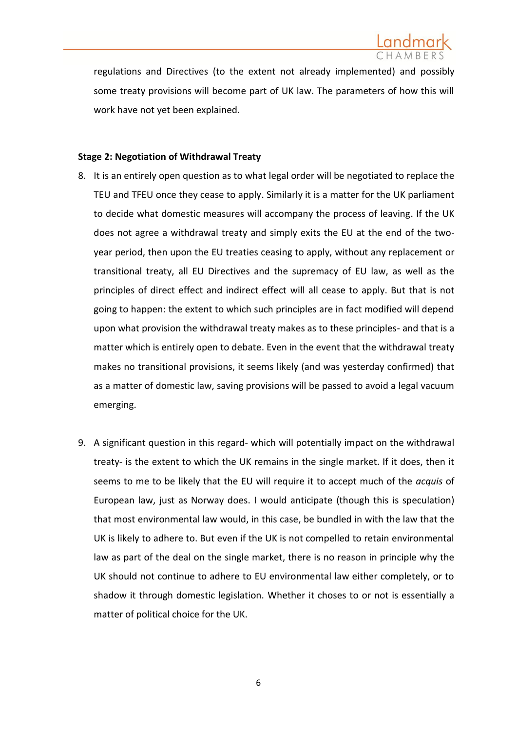regulations and Directives (to the extent not already implemented) and possibly some treaty provisions will become part of UK law. The parameters of how this will work have not yet been explained.

### **Stage 2: Negotiation of Withdrawal Treaty**

- 8. It is an entirely open question as to what legal order will be negotiated to replace the TEU and TFEU once they cease to apply. Similarly it is a matter for the UK parliament to decide what domestic measures will accompany the process of leaving. If the UK does not agree a withdrawal treaty and simply exits the EU at the end of the twoyear period, then upon the EU treaties ceasing to apply, without any replacement or transitional treaty, all EU Directives and the supremacy of EU law, as well as the principles of direct effect and indirect effect will all cease to apply. But that is not going to happen: the extent to which such principles are in fact modified will depend upon what provision the withdrawal treaty makes as to these principles- and that is a matter which is entirely open to debate. Even in the event that the withdrawal treaty makes no transitional provisions, it seems likely (and was yesterday confirmed) that as a matter of domestic law, saving provisions will be passed to avoid a legal vacuum emerging.
- 9. A significant question in this regard- which will potentially impact on the withdrawal treaty- is the extent to which the UK remains in the single market. If it does, then it seems to me to be likely that the EU will require it to accept much of the *acquis* of European law, just as Norway does. I would anticipate (though this is speculation) that most environmental law would, in this case, be bundled in with the law that the UK is likely to adhere to. But even if the UK is not compelled to retain environmental law as part of the deal on the single market, there is no reason in principle why the UK should not continue to adhere to EU environmental law either completely, or to shadow it through domestic legislation. Whether it choses to or not is essentially a matter of political choice for the UK.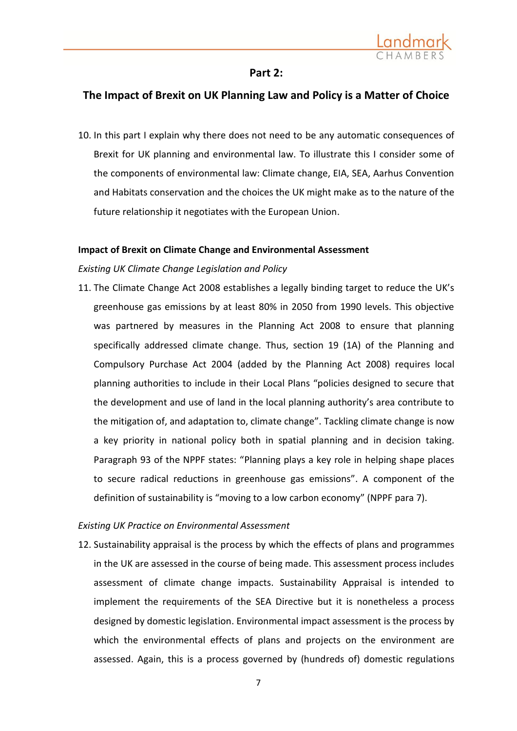

## **Part 2:**

# **The Impact of Brexit on UK Planning Law and Policy is a Matter of Choice**

10. In this part I explain why there does not need to be any automatic consequences of Brexit for UK planning and environmental law. To illustrate this I consider some of the components of environmental law: Climate change, EIA, SEA, Aarhus Convention and Habitats conservation and the choices the UK might make as to the nature of the future relationship it negotiates with the European Union.

### **Impact of Brexit on Climate Change and Environmental Assessment**

### *Existing UK Climate Change Legislation and Policy*

11. The Climate Change Act 2008 establishes a legally binding target to reduce the UK's greenhouse gas emissions by at least 80% in 2050 from 1990 levels. This objective was partnered by measures in the Planning Act 2008 to ensure that planning specifically addressed climate change. Thus, [section 19 \(1A\) of the Planning and](http://www.legislation.gov.uk/ukpga/2008/29/section/182)  [Compulsory Purchase Act 2004](http://www.legislation.gov.uk/ukpga/2008/29/section/182) (added by the Planning Act 2008) requires local planning authorities to include in their [Local Plans](http://planningguidance.communities.gov.uk/blog/guidance/local-plans/) "policies designed to secure that the development and use of land in the local planning authority's area contribute to the mitigation of, and adaptation to, climate change". Tackling climate change is now a key priority in national policy both in spatial planning and in decision taking. Paragraph 93 of the NPPF states: "Planning plays a key role in helping shape places to secure radical reductions in greenhouse gas emissions". A component of the definition of sustainability is "moving to a low carbon economy" (NPPF para 7).

### *Existing UK Practice on Environmental Assessment*

12. Sustainability appraisal is the process by which the effects of plans and programmes in the UK are assessed in the course of being made. This assessment process includes assessment of climate change impacts. Sustainability Appraisal is intended to implement the requirements of the SEA Directive but it is nonetheless a process designed by domestic legislation. Environmental impact assessment is the process by which the environmental effects of plans and projects on the environment are assessed. Again, this is a process governed by (hundreds of) domestic regulations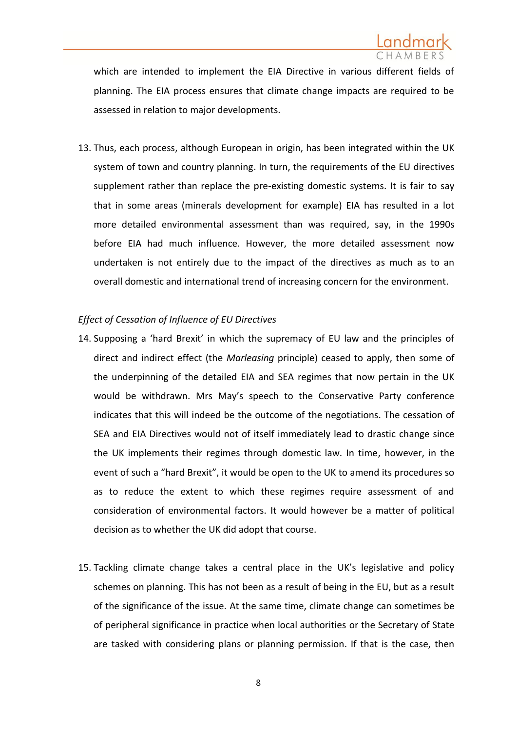

which are intended to implement the EIA Directive in various different fields of planning. The EIA process ensures that climate change impacts are required to be assessed in relation to major developments.

13. Thus, each process, although European in origin, has been integrated within the UK system of town and country planning. In turn, the requirements of the EU directives supplement rather than replace the pre-existing domestic systems. It is fair to say that in some areas (minerals development for example) EIA has resulted in a lot more detailed environmental assessment than was required, say, in the 1990s before EIA had much influence. However, the more detailed assessment now undertaken is not entirely due to the impact of the directives as much as to an overall domestic and international trend of increasing concern for the environment.

## *Effect of Cessation of Influence of EU Directives*

- 14. Supposing a 'hard Brexit' in which the supremacy of EU law and the principles of direct and indirect effect (the *Marleasing* principle) ceased to apply, then some of the underpinning of the detailed EIA and SEA regimes that now pertain in the UK would be withdrawn. Mrs May's speech to the Conservative Party conference indicates that this will indeed be the outcome of the negotiations. The cessation of SEA and EIA Directives would not of itself immediately lead to drastic change since the UK implements their regimes through domestic law. In time, however, in the event of such a "hard Brexit", it would be open to the UK to amend its procedures so as to reduce the extent to which these regimes require assessment of and consideration of environmental factors. It would however be a matter of political decision as to whether the UK did adopt that course.
- 15. Tackling climate change takes a central place in the UK's legislative and policy schemes on planning. This has not been as a result of being in the EU, but as a result of the significance of the issue. At the same time, climate change can sometimes be of peripheral significance in practice when local authorities or the Secretary of State are tasked with considering plans or planning permission. If that is the case, then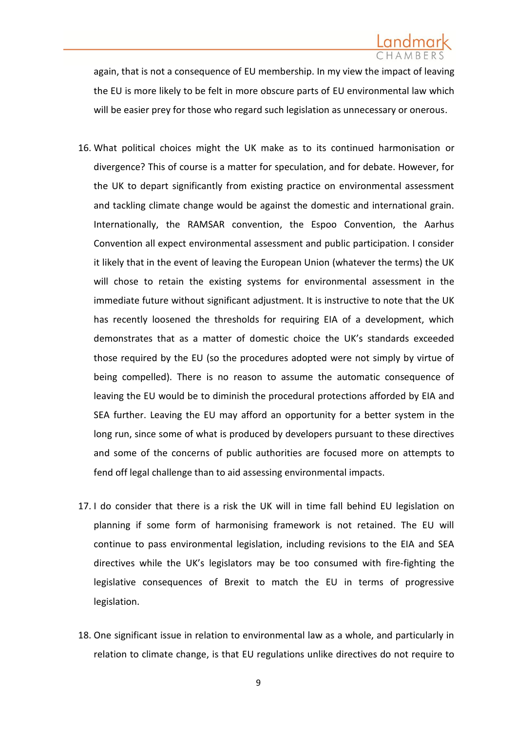again, that is not a consequence of EU membership. In my view the impact of leaving the EU is more likely to be felt in more obscure parts of EU environmental law which will be easier prey for those who regard such legislation as unnecessary or onerous.

- 16. What political choices might the UK make as to its continued harmonisation or divergence? This of course is a matter for speculation, and for debate. However, for the UK to depart significantly from existing practice on environmental assessment and tackling climate change would be against the domestic and international grain. Internationally, the RAMSAR convention, the Espoo Convention, the Aarhus Convention all expect environmental assessment and public participation. I consider it likely that in the event of leaving the European Union (whatever the terms) the UK will chose to retain the existing systems for environmental assessment in the immediate future without significant adjustment. It is instructive to note that the UK has recently loosened the thresholds for requiring EIA of a development, which demonstrates that as a matter of domestic choice the UK's standards exceeded those required by the EU (so the procedures adopted were not simply by virtue of being compelled). There is no reason to assume the automatic consequence of leaving the EU would be to diminish the procedural protections afforded by EIA and SEA further. Leaving the EU may afford an opportunity for a better system in the long run, since some of what is produced by developers pursuant to these directives and some of the concerns of public authorities are focused more on attempts to fend off legal challenge than to aid assessing environmental impacts.
- 17. I do consider that there is a risk the UK will in time fall behind EU legislation on planning if some form of harmonising framework is not retained. The EU will continue to pass environmental legislation, including revisions to the EIA and SEA directives while the UK's legislators may be too consumed with fire-fighting the legislative consequences of Brexit to match the EU in terms of progressive legislation.
- 18. One significant issue in relation to environmental law as a whole, and particularly in relation to climate change, is that EU regulations unlike directives do not require to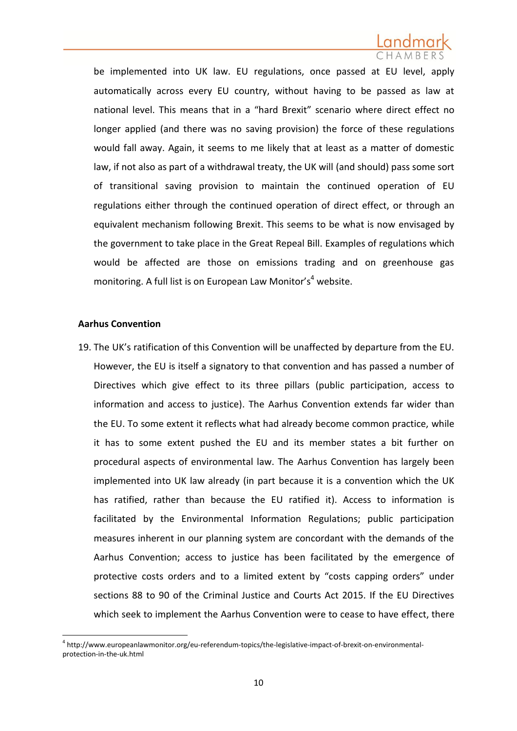be implemented into UK law. EU regulations, once passed at EU level, apply automatically across every EU country, without having to be passed as law at national level. This means that in a "hard Brexit" scenario where direct effect no longer applied (and there was no saving provision) the force of these regulations would fall away. Again, it seems to me likely that at least as a matter of domestic law, if not also as part of a withdrawal treaty, the UK will (and should) pass some sort of transitional saving provision to maintain the continued operation of EU regulations either through the continued operation of direct effect, or through an equivalent mechanism following Brexit. This seems to be what is now envisaged by the government to take place in the Great Repeal Bill. Examples of regulations which would be affected are those on emissions trading and on greenhouse gas monitoring. A full list is on [European Law Monitor](file://fileserver/users/agoodman/Old%20Desktop/Cases/Friends%20of%20the%20Earth/Brexit/Climate%20Change%20Section%20for%20Brexit%20Advice.docx)'s<sup>4</sup> website.

### **Aarhus Convention**

1

19. The UK's ratification of this Convention will be unaffected by departure from the EU. However, the EU is itself a signatory to that convention and has passed a number of Directives which give effect to its three pillars (public participation, access to information and access to justice). The Aarhus Convention extends far wider than the EU. To some extent it reflects what had already become common practice, while it has to some extent pushed the EU and its member states a bit further on procedural aspects of environmental law. The Aarhus Convention has largely been implemented into UK law already (in part because it is a convention which the UK has ratified, rather than because the EU ratified it). Access to information is facilitated by the Environmental Information Regulations; public participation measures inherent in our planning system are concordant with the demands of the Aarhus Convention; access to justice has been facilitated by the emergence of protective costs orders and to a limited extent by "costs capping orders" under sections 88 to 90 of the Criminal Justice and Courts Act 2015. If the EU Directives which seek to implement the Aarhus Convention were to cease to have effect, there

<sup>&</sup>lt;sup>4</sup> [http://www.europeanlawmonitor.org/eu-referendum-topics/the-legislative-impact-of-brexit-on-environmental](http://www.europeanlawmonitor.org/eu-referendum-topics/the-legislative-impact-of-brexit-on-environmental-protection-in-the-uk.html)[protection-in-the-uk.html](http://www.europeanlawmonitor.org/eu-referendum-topics/the-legislative-impact-of-brexit-on-environmental-protection-in-the-uk.html)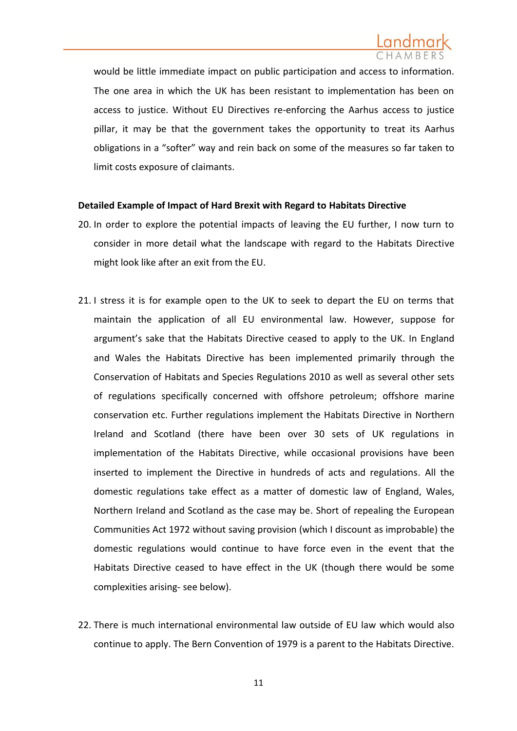

would be little immediate impact on public participation and access to information. The one area in which the UK has been resistant to implementation has been on access to justice. Without EU Directives re-enforcing the Aarhus access to justice pillar, it may be that the government takes the opportunity to treat its Aarhus obligations in a "softer" way and rein back on some of the measures so far taken to limit costs exposure of claimants.

### **Detailed Example of Impact of Hard Brexit with Regard to Habitats Directive**

- 20. In order to explore the potential impacts of leaving the EU further, I now turn to consider in more detail what the landscape with regard to the Habitats Directive might look like after an exit from the EU.
- 21. I stress it is for example open to the UK to seek to depart the EU on terms that maintain the application of all EU environmental law. However, suppose for argument's sake that the Habitats Directive ceased to apply to the UK. In England and Wales the Habitats Directive has been implemented primarily through the Conservation of Habitats and Species Regulations 2010 as well as several other sets of regulations specifically concerned with offshore petroleum; offshore marine conservation etc. Further regulations implement the Habitats Directive in Northern Ireland and Scotland (there have been over 30 sets of UK regulations in implementation of the Habitats Directive, while occasional provisions have been inserted to implement the Directive in hundreds of acts and regulations. All the domestic regulations take effect as a matter of domestic law of England, Wales, Northern Ireland and Scotland as the case may be. Short of repealing the European Communities Act 1972 without saving provision (which I discount as improbable) the domestic regulations would continue to have force even in the event that the Habitats Directive ceased to have effect in the UK (though there would be some complexities arising- see below).
- 22. There is much international environmental law outside of EU law which would also continue to apply. The Bern Convention of 1979 is a parent to the Habitats Directive.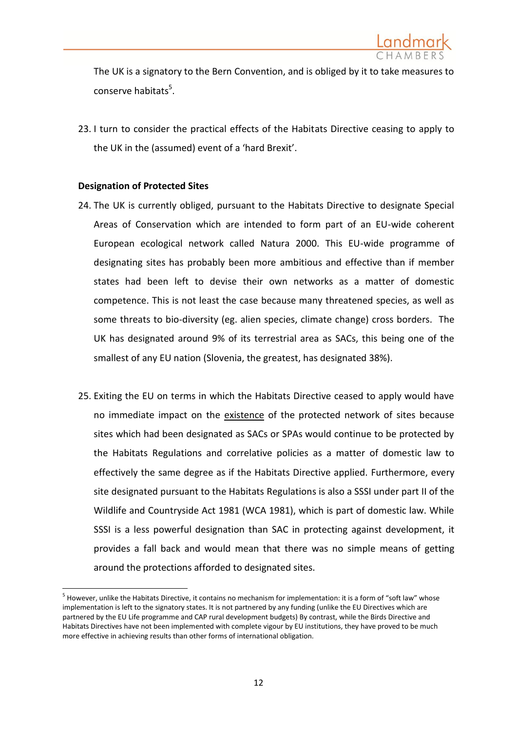

The UK is a signatory to the Bern Convention, and is obliged by it to take measures to conserve habitats<sup>5</sup>.

23. I turn to consider the practical effects of the Habitats Directive ceasing to apply to the UK in the (assumed) event of a 'hard Brexit'.

## **Designation of Protected Sites**

**.** 

- 24. The UK is currently obliged, pursuant to the Habitats Directive to designate Special Areas of Conservation which are intended to form part of an EU-wide coherent European ecological network called Natura 2000. This EU-wide programme of designating sites has probably been more ambitious and effective than if member states had been left to devise their own networks as a matter of domestic competence. This is not least the case because many threatened species, as well as some threats to bio-diversity (eg. alien species, climate change) cross borders. The UK has designated around 9% of its terrestrial area as SACs, this being one of the smallest of any EU nation (Slovenia, the greatest, has designated 38%).
- 25. Exiting the EU on terms in which the Habitats Directive ceased to apply would have no immediate impact on the existence of the protected network of sites because sites which had been designated as SACs or SPAs would continue to be protected by the Habitats Regulations and correlative policies as a matter of domestic law to effectively the same degree as if the Habitats Directive applied. Furthermore, every site designated pursuant to the Habitats Regulations is also a SSSI under part II of the Wildlife and Countryside Act 1981 (WCA 1981), which is part of domestic law. While SSSI is a less powerful designation than SAC in protecting against development, it provides a fall back and would mean that there was no simple means of getting around the protections afforded to designated sites.

<sup>&</sup>lt;sup>5</sup> However, unlike the Habitats Directive, it contains no mechanism for implementation: it is a form of "soft law" whose implementation is left to the signatory states. It is not partnered by any funding (unlike the EU Directives which are partnered by the EU Life programme and CAP rural development budgets) By contrast, while the Birds Directive and Habitats Directives have not been implemented with complete vigour by EU institutions, they have proved to be much more effective in achieving results than other forms of international obligation.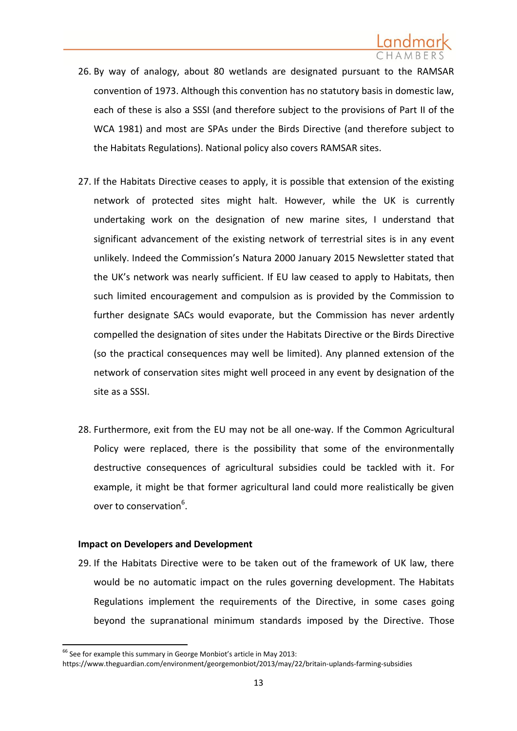- 26. By way of analogy, about 80 wetlands are designated pursuant to the RAMSAR convention of 1973. Although this convention has no statutory basis in domestic law, each of these is also a SSSI (and therefore subject to the provisions of Part II of the WCA 1981) and most are SPAs under the Birds Directive (and therefore subject to the Habitats Regulations). National policy also covers RAMSAR sites.
- 27. If the Habitats Directive ceases to apply, it is possible that extension of the existing network of protected sites might halt. However, while the UK is currently undertaking work on the designation of new marine sites, I understand that significant advancement of the existing network of terrestrial sites is in any event unlikely. Indeed the Commission's Natura 2000 January 2015 Newsletter stated that the UK's network was nearly sufficient. If EU law ceased to apply to Habitats, then such limited encouragement and compulsion as is provided by the Commission to further designate SACs would evaporate, but the Commission has never ardently compelled the designation of sites under the Habitats Directive or the Birds Directive (so the practical consequences may well be limited). Any planned extension of the network of conservation sites might well proceed in any event by designation of the site as a SSSI.
- 28. Furthermore, exit from the EU may not be all one-way. If the Common Agricultural Policy were replaced, there is the possibility that some of the environmentally destructive consequences of agricultural subsidies could be tackled with it. For example, it might be that former agricultural land could more realistically be given over to conservation<sup>6</sup>.

## **Impact on Developers and Development**

29. If the Habitats Directive were to be taken out of the framework of UK law, there would be no automatic impact on the rules governing development. The Habitats Regulations implement the requirements of the Directive, in some cases going beyond the supranational minimum standards imposed by the Directive. Those

**.** 

<sup>&</sup>lt;sup>66</sup> See for example this summary in George Monbiot's article in May 2013:

https://www.theguardian.com/environment/georgemonbiot/2013/may/22/britain-uplands-farming-subsidies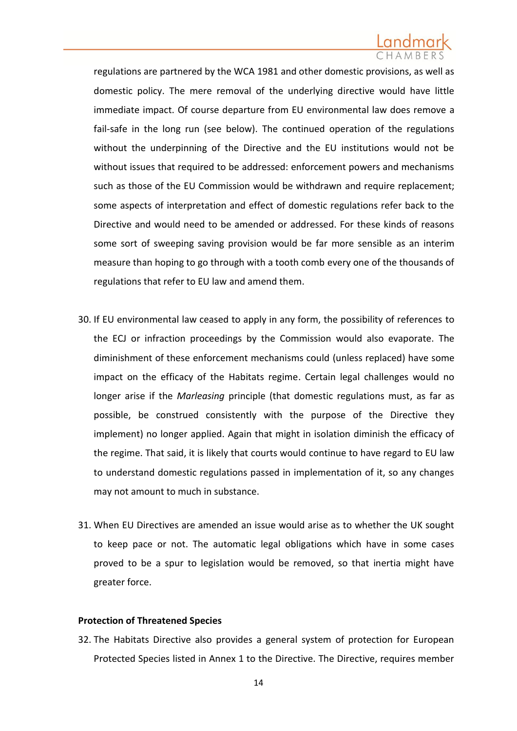regulations are partnered by the WCA 1981 and other domestic provisions, as well as domestic policy. The mere removal of the underlying directive would have little immediate impact. Of course departure from EU environmental law does remove a fail-safe in the long run (see below). The continued operation of the regulations without the underpinning of the Directive and the EU institutions would not be without issues that required to be addressed: enforcement powers and mechanisms such as those of the EU Commission would be withdrawn and require replacement; some aspects of interpretation and effect of domestic regulations refer back to the Directive and would need to be amended or addressed. For these kinds of reasons some sort of sweeping saving provision would be far more sensible as an interim measure than hoping to go through with a tooth comb every one of the thousands of regulations that refer to EU law and amend them.

- 30. If EU environmental law ceased to apply in any form, the possibility of references to the ECJ or infraction proceedings by the Commission would also evaporate. The diminishment of these enforcement mechanisms could (unless replaced) have some impact on the efficacy of the Habitats regime. Certain legal challenges would no longer arise if the *Marleasing* principle (that domestic regulations must, as far as possible, be construed consistently with the purpose of the Directive they implement) no longer applied. Again that might in isolation diminish the efficacy of the regime. That said, it is likely that courts would continue to have regard to EU law to understand domestic regulations passed in implementation of it, so any changes may not amount to much in substance.
- 31. When EU Directives are amended an issue would arise as to whether the UK sought to keep pace or not. The automatic legal obligations which have in some cases proved to be a spur to legislation would be removed, so that inertia might have greater force.

### **Protection of Threatened Species**

32. The Habitats Directive also provides a general system of protection for European Protected Species listed in Annex 1 to the Directive. The Directive, requires member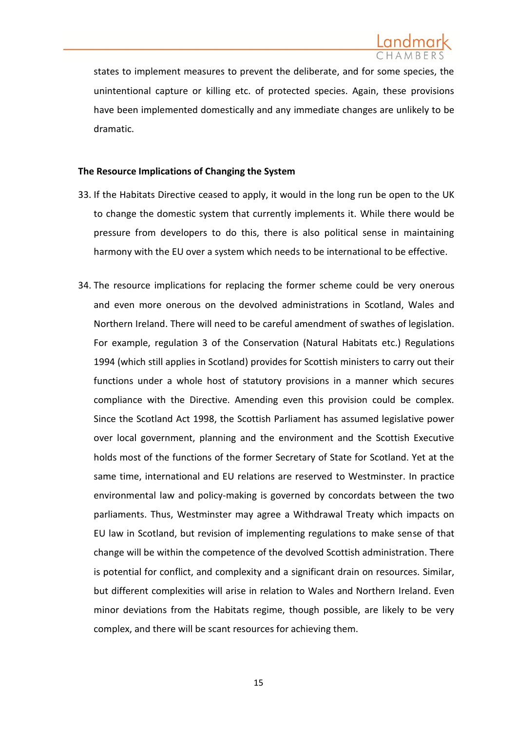states to implement measures to prevent the deliberate, and for some species, the unintentional capture or killing etc. of protected species. Again, these provisions have been implemented domestically and any immediate changes are unlikely to be dramatic.

## **The Resource Implications of Changing the System**

- 33. If the Habitats Directive ceased to apply, it would in the long run be open to the UK to change the domestic system that currently implements it. While there would be pressure from developers to do this, there is also political sense in maintaining harmony with the EU over a system which needs to be international to be effective.
- 34. The resource implications for replacing the former scheme could be very onerous and even more onerous on the devolved administrations in Scotland, Wales and Northern Ireland. There will need to be careful amendment of swathes of legislation. For example, regulation 3 of the Conservation (Natural Habitats etc.) Regulations 1994 (which still applies in Scotland) provides for Scottish ministers to carry out their functions under a whole host of statutory provisions in a manner which secures compliance with the Directive. Amending even this provision could be complex. Since the Scotland Act 1998, the Scottish Parliament has assumed legislative power over local government, planning and the environment and the Scottish Executive holds most of the functions of the former Secretary of State for Scotland. Yet at the same time, international and EU relations are reserved to Westminster. In practice environmental law and policy-making is governed by concordats between the two parliaments. Thus, Westminster may agree a Withdrawal Treaty which impacts on EU law in Scotland, but revision of implementing regulations to make sense of that change will be within the competence of the devolved Scottish administration. There is potential for conflict, and complexity and a significant drain on resources. Similar, but different complexities will arise in relation to Wales and Northern Ireland. Even minor deviations from the Habitats regime, though possible, are likely to be very complex, and there will be scant resources for achieving them.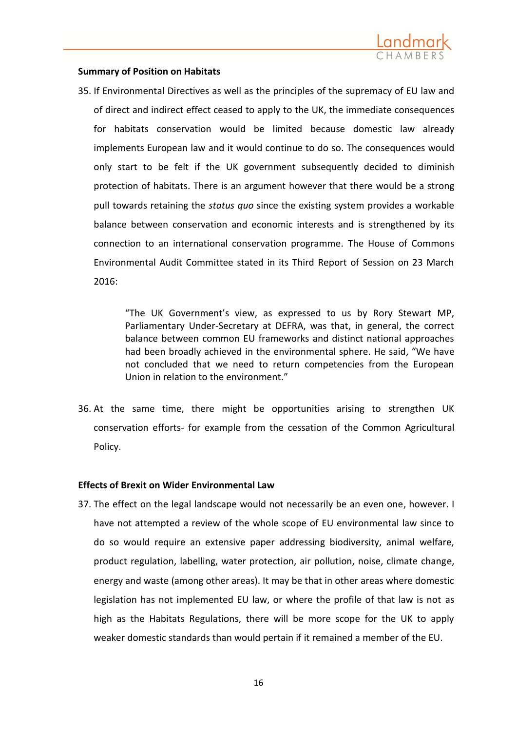

### **Summary of Position on Habitats**

35. If Environmental Directives as well as the principles of the supremacy of EU law and of direct and indirect effect ceased to apply to the UK, the immediate consequences for habitats conservation would be limited because domestic law already implements European law and it would continue to do so. The consequences would only start to be felt if the UK government subsequently decided to diminish protection of habitats. There is an argument however that there would be a strong pull towards retaining the *status quo* since the existing system provides a workable balance between conservation and economic interests and is strengthened by its connection to an international conservation programme. The House of Commons Environmental Audit Committee stated in its Third Report of Session on 23 March 2016:

> "The UK Government's view, as expressed to us by Rory Stewart MP, Parliamentary Under-Secretary at DEFRA, was that, in general, the correct balance between common EU frameworks and distinct national approaches had been broadly achieved in the environmental sphere. He said, "We have not concluded that we need to return competencies from the European Union in relation to the environment."

36. At the same time, there might be opportunities arising to strengthen UK conservation efforts- for example from the cessation of the Common Agricultural Policy.

## **Effects of Brexit on Wider Environmental Law**

37. The effect on the legal landscape would not necessarily be an even one, however. I have not attempted a review of the whole scope of EU environmental law since to do so would require an extensive paper addressing biodiversity, animal welfare, product regulation, labelling, water protection, air pollution, noise, climate change, energy and waste (among other areas). It may be that in other areas where domestic legislation has not implemented EU law, or where the profile of that law is not as high as the Habitats Regulations, there will be more scope for the UK to apply weaker domestic standards than would pertain if it remained a member of the EU.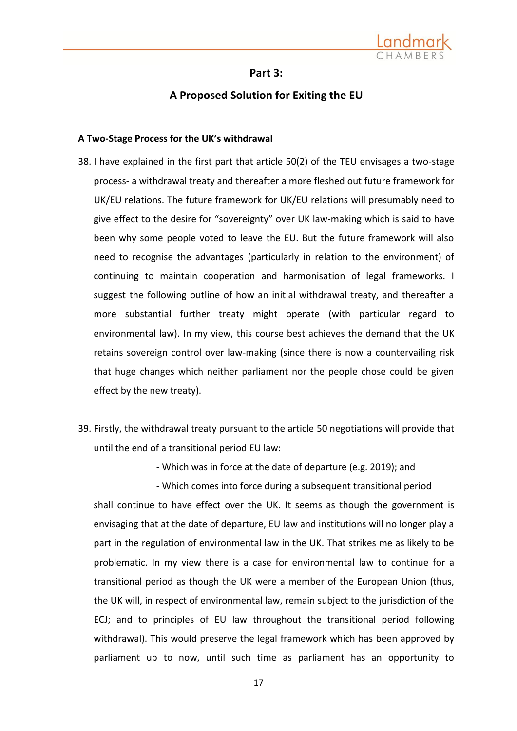

### **Part 3:**

# **A Proposed Solution for Exiting the EU**

### **A Two-Stage Process for the UK's withdrawal**

- 38. I have explained in the first part that article 50(2) of the TEU envisages a two-stage process- a withdrawal treaty and thereafter a more fleshed out future framework for UK/EU relations. The future framework for UK/EU relations will presumably need to give effect to the desire for "sovereignty" over UK law-making which is said to have been why some people voted to leave the EU. But the future framework will also need to recognise the advantages (particularly in relation to the environment) of continuing to maintain cooperation and harmonisation of legal frameworks. I suggest the following outline of how an initial withdrawal treaty, and thereafter a more substantial further treaty might operate (with particular regard to environmental law). In my view, this course best achieves the demand that the UK retains sovereign control over law-making (since there is now a countervailing risk that huge changes which neither parliament nor the people chose could be given effect by the new treaty).
- 39. Firstly, the withdrawal treaty pursuant to the article 50 negotiations will provide that until the end of a transitional period EU law:

- Which was in force at the date of departure (e.g. 2019); and

- Which comes into force during a subsequent transitional period shall continue to have effect over the UK. It seems as though the government is envisaging that at the date of departure, EU law and institutions will no longer play a part in the regulation of environmental law in the UK. That strikes me as likely to be problematic. In my view there is a case for environmental law to continue for a transitional period as though the UK were a member of the European Union (thus, the UK will, in respect of environmental law, remain subject to the jurisdiction of the ECJ; and to principles of EU law throughout the transitional period following withdrawal). This would preserve the legal framework which has been approved by parliament up to now, until such time as parliament has an opportunity to

17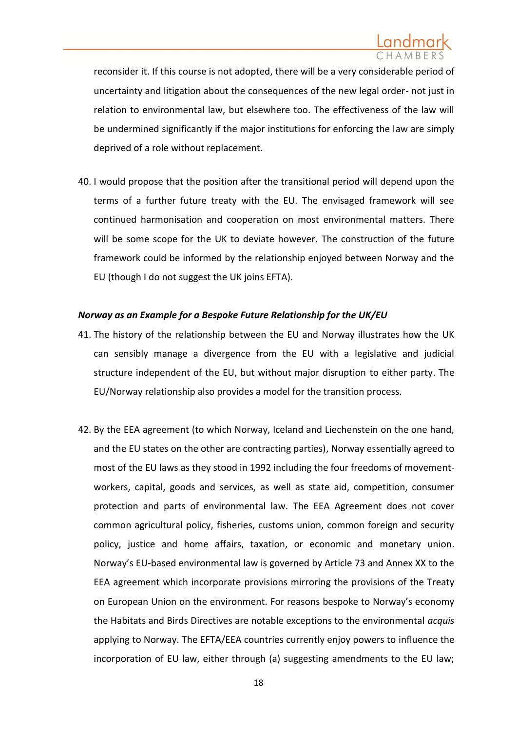reconsider it. If this course is not adopted, there will be a very considerable period of uncertainty and litigation about the consequences of the new legal order- not just in relation to environmental law, but elsewhere too. The effectiveness of the law will be undermined significantly if the major institutions for enforcing the law are simply deprived of a role without replacement.

40. I would propose that the position after the transitional period will depend upon the terms of a further future treaty with the EU. The envisaged framework will see continued harmonisation and cooperation on most environmental matters. There will be some scope for the UK to deviate however. The construction of the future framework could be informed by the relationship enjoyed between Norway and the EU (though I do not suggest the UK joins EFTA).

## *Norway as an Example for a Bespoke Future Relationship for the UK/EU*

- 41. The history of the relationship between the EU and Norway illustrates how the UK can sensibly manage a divergence from the EU with a legislative and judicial structure independent of the EU, but without major disruption to either party. The EU/Norway relationship also provides a model for the transition process.
- 42. By the EEA agreement (to which Norway, Iceland and Liechenstein on the one hand, and the EU states on the other are contracting parties), Norway essentially agreed to most of the EU laws as they stood in 1992 including the four freedoms of movementworkers, capital, goods and services, as well as state aid, competition, consumer protection and parts of environmental law. The EEA Agreement does not cover common agricultural policy, fisheries, customs union, common foreign and security policy, justice and home affairs, taxation, or economic and monetary union. Norway's EU-based environmental law is governed by Article 73 and Annex XX to the EEA agreement which incorporate provisions mirroring the provisions of the Treaty on European Union on the environment. For reasons bespoke to Norway's economy the Habitats and Birds Directives are notable exceptions to the environmental *acquis*  applying to Norway. The EFTA/EEA countries currently enjoy powers to influence the incorporation of EU law, either through (a) suggesting amendments to the EU law;